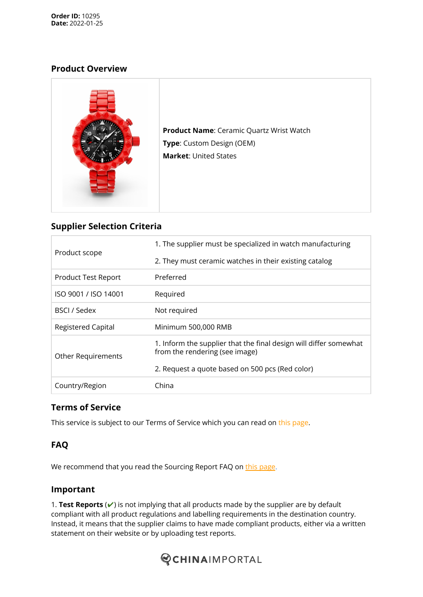#### **Product Overview**



**Product Name**: Ceramic Quartz Wrist Watch **Type**: Custom Design (OEM) **Market**: United States

# **Supplier Selection Criteria**

| Product scope             | 1. The supplier must be specialized in watch manufacturing                                          |  |
|---------------------------|-----------------------------------------------------------------------------------------------------|--|
|                           | 2. They must ceramic watches in their existing catalog                                              |  |
| Product Test Report       | Preferred                                                                                           |  |
| ISO 9001 / ISO 14001      | Required                                                                                            |  |
| BSCI / Sedex              | Not required                                                                                        |  |
| <b>Registered Capital</b> | Minimum 500,000 RMB                                                                                 |  |
| <b>Other Requirements</b> | 1. Inform the supplier that the final design will differ somewhat<br>from the rendering (see image) |  |
|                           | 2. Request a quote based on 500 pcs (Red color)                                                     |  |
| Country/Region            | China                                                                                               |  |

# **Terms of Service**

This service is subject to our Terms of Service which you can read on this [page.](https://www.chinaimportal.com/terms-of-service/)

# **FAQ**

We recommend that you read the Sourcing Report FAQ on this [page](https://www.chinaimportal.com/sourcing/).

#### **Important**

1. **Test Reports** (✔) is not implying that all products made by the supplier are by default compliant with all product regulations and labelling requirements in the destination country. Instead, it means that the supplier claims to have made compliant products, either via a written statement on their website or by uploading test reports.

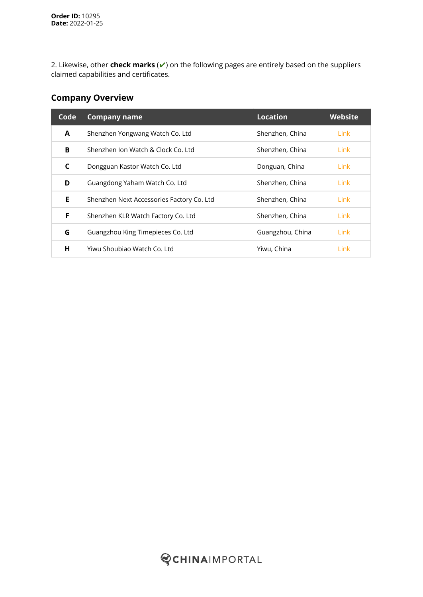2. Likewise, other **check marks** (✔) on the following pages are entirely based on the suppliers claimed capabilities and certificates.

#### **Company Overview**

| Code | <b>Company name</b>                       | <b>Location</b>  | Website |
|------|-------------------------------------------|------------------|---------|
| A    | Shenzhen Yongwang Watch Co. Ltd           | Shenzhen, China  | Link    |
| В    | Shenzhen Ion Watch & Clock Co. Ltd.       | Shenzhen, China  | Link    |
| C    | Dongguan Kastor Watch Co. Ltd             | Donguan, China   | Link    |
| D    | Guangdong Yaham Watch Co. Ltd             | Shenzhen, China  | Link    |
| E.   | Shenzhen Next Accessories Factory Co. Ltd | Shenzhen, China  | Link    |
| F    | Shenzhen KLR Watch Factory Co. Ltd        | Shenzhen, China  | Link    |
| G    | Guangzhou King Timepieces Co. Ltd         | Guangzhou, China | Link    |
| н    | Yiwu Shoubiao Watch Co. Ltd.              | Yiwu, China      | Link    |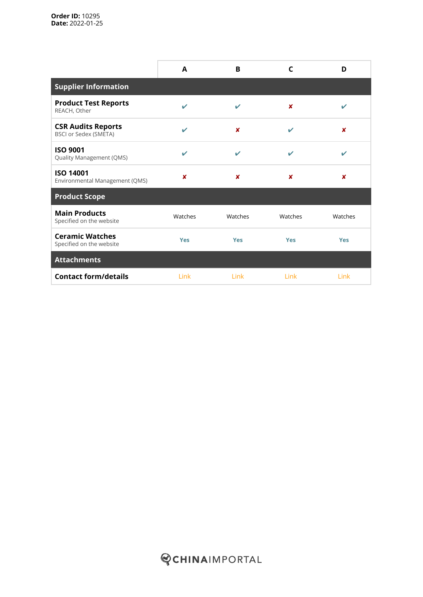|                                                           | A                          | B                | C          | D          |
|-----------------------------------------------------------|----------------------------|------------------|------------|------------|
| <b>Supplier Information</b>                               |                            |                  |            |            |
| <b>Product Test Reports</b><br>REACH, Other               | $\boldsymbol{\nu}$         | v                | x          | ✓          |
| <b>CSR Audits Reports</b><br><b>BSCI or Sedex (SMETA)</b> | $\mathbf{v}$               | $\boldsymbol{x}$ | v          | ×          |
| <b>ISO 9001</b><br>Quality Management (QMS)               | $\boldsymbol{\mathcal{L}}$ | ✓                | ✔          | ✔          |
| <b>ISO 14001</b><br>Environmental Management (QMS)        | ×                          | $\boldsymbol{x}$ | ×          | ×          |
| <b>Product Scope</b>                                      |                            |                  |            |            |
| <b>Main Products</b><br>Specified on the website          | Watches                    | Watches          | Watches    | Watches    |
| <b>Ceramic Watches</b><br>Specified on the website        | <b>Yes</b>                 | <b>Yes</b>       | <b>Yes</b> | <b>Yes</b> |
| <b>Attachments</b>                                        |                            |                  |            |            |
| <b>Contact form/details</b>                               | Link                       | Link             | Link       | Link       |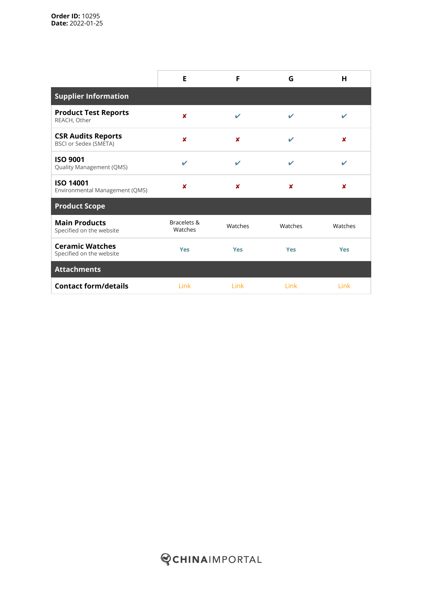|                                                           | E                      | F                        | G          | н                |
|-----------------------------------------------------------|------------------------|--------------------------|------------|------------------|
| <b>Supplier Information</b>                               |                        |                          |            |                  |
| <b>Product Test Reports</b><br>REACH, Other               | $\boldsymbol{x}$       | ✓                        | ✔          | ✓                |
| <b>CSR Audits Reports</b><br><b>BSCI or Sedex (SMETA)</b> | $\boldsymbol{x}$       | $\boldsymbol{x}$         | ✔          | $\boldsymbol{x}$ |
| <b>ISO 9001</b><br>Quality Management (QMS)               | ✓                      | $\overline{\mathscr{L}}$ | ✓          | ✓                |
| <b>ISO 14001</b><br>Environmental Management (QMS)        | ×                      | ×                        | ×          | $\boldsymbol{x}$ |
| <b>Product Scope</b>                                      |                        |                          |            |                  |
| <b>Main Products</b><br>Specified on the website          | Bracelets &<br>Watches | Watches                  | Watches    | Watches          |
| <b>Ceramic Watches</b><br>Specified on the website        | <b>Yes</b>             | <b>Yes</b>               | <b>Yes</b> | <b>Yes</b>       |
| <b>Attachments</b>                                        |                        |                          |            |                  |
| <b>Contact form/details</b>                               | Link                   | Link                     | Link       | Link             |